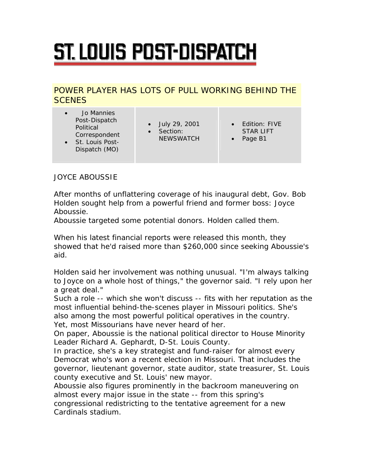## ST. LOUIS POST-DISPATCH

## POWER PLAYER HAS LOTS OF PULL WORKING BEHIND THE **SCENES**

- Jo Mannies Post-Dispatch Political Correspondent
- St. Louis Post-Dispatch (MO)
- July 29, 2001
- Section: **NEWSWATCH**
- Edition: FIVE STAR LIFT
- Page B1

JOYCE ABOUSSIE

After months of unflattering coverage of his inaugural debt, Gov. Bob Holden sought help from a powerful friend and former boss: Joyce Aboussie.

Aboussie targeted some potential donors. Holden called them.

When his latest financial reports were released this month, they showed that he'd raised more than \$260,000 since seeking Aboussie's aid.

Holden said her involvement was nothing unusual. "I'm always talking to Joyce on a whole host of things," the governor said. "I rely upon her a great deal."

Such a role -- which she won't discuss -- fits with her reputation as the most influential behind-the-scenes player in Missouri politics. She's also among the most powerful political operatives in the country. Yet, most Missourians have never heard of her.

On paper, Aboussie is the national political director to House Minority Leader Richard A. Gephardt, D-St. Louis County.

In practice, she's a key strategist and fund-raiser for almost every Democrat who's won a recent election in Missouri. That includes the governor, lieutenant governor, state auditor, state treasurer, St. Louis county executive and St. Louis' new mayor.

Aboussie also figures prominently in the backroom maneuvering on almost every major issue in the state -- from this spring's congressional redistricting to the tentative agreement for a new Cardinals stadium.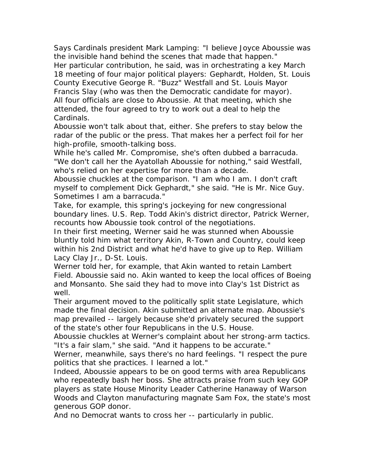Says Cardinals president Mark Lamping: "I believe Joyce Aboussie was the invisible hand behind the scenes that made that happen." Her particular contribution, he said, was in orchestrating a key March

18 meeting of four major political players: Gephardt, Holden, St. Louis County Executive George R. "Buzz" Westfall and St. Louis Mayor Francis Slay (who was then the Democratic candidate for mayor). All four officials are close to Aboussie. At that meeting, which she attended, the four agreed to try to work out a deal to help the Cardinals.

Aboussie won't talk about that, either. She prefers to stay below the radar of the public or the press. That makes her a perfect foil for her high-profile, smooth-talking boss.

While he's called Mr. Compromise, she's often dubbed a barracuda. "We don't call her the Ayatollah Aboussie for nothing," said Westfall, who's relied on her expertise for more than a decade.

Aboussie chuckles at the comparison. "I am who I am. I don't craft myself to complement Dick Gephardt," she said. "He is Mr. Nice Guy. Sometimes I am a barracuda."

Take, for example, this spring's jockeying for new congressional boundary lines. U.S. Rep. Todd Akin's district director, Patrick Werner, recounts how Aboussie took control of the negotiations.

In their first meeting, Werner said he was stunned when Aboussie bluntly told him what territory Akin, R-Town and Country, could keep within his 2nd District and what he'd have to give up to Rep. William Lacy Clay Jr., D-St. Louis.

Werner told her, for example, that Akin wanted to retain Lambert Field. Aboussie said no. Akin wanted to keep the local offices of Boeing and Monsanto. She said they had to move into Clay's 1st District as well.

Their argument moved to the politically split state Legislature, which made the final decision. Akin submitted an alternate map. Aboussie's map prevailed -- largely because she'd privately secured the support of the state's other four Republicans in the U.S. House.

Aboussie chuckles at Werner's complaint about her strong-arm tactics. "It's a fair slam," she said. "And it happens to be accurate."

Werner, meanwhile, says there's no hard feelings. "I respect the pure politics that she practices. I learned a lot."

Indeed, Aboussie appears to be on good terms with area Republicans who repeatedly bash her boss. She attracts praise from such key GOP players as state House Minority Leader Catherine Hanaway of Warson Woods and Clayton manufacturing magnate Sam Fox, the state's most generous GOP donor.

And no Democrat wants to cross her -- particularly in public.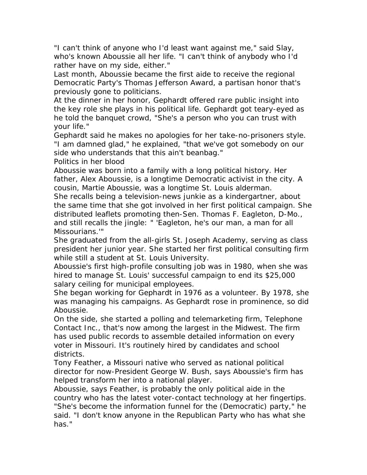"I can't think of anyone who I'd least want against me," said Slay, who's known Aboussie all her life. "I can't think of anybody who I'd rather have on my side, either."

Last month, Aboussie became the first aide to receive the regional Democratic Party's Thomas Jefferson Award, a partisan honor that's previously gone to politicians.

At the dinner in her honor, Gephardt offered rare public insight into the key role she plays in his political life. Gephardt got teary-eyed as he told the banquet crowd, "She's a person who you can trust with your life."

Gephardt said he makes no apologies for her take-no-prisoners style. "I am damned glad," he explained, "that we've got somebody on our side who understands that this ain't beanbag."

Politics in her blood

Aboussie was born into a family with a long political history. Her father, Alex Aboussie, is a longtime Democratic activist in the city. A cousin, Martie Aboussie, was a longtime St. Louis alderman.

She recalls being a television-news junkie as a kindergartner, about the same time that she got involved in her first political campaign. She distributed leaflets promoting then-Sen. Thomas F. Eagleton, D-Mo., and still recalls the jingle: " 'Eagleton, he's our man, a man for all Missourians.'"

She graduated from the all-girls St. Joseph Academy, serving as class president her junior year. She started her first political consulting firm while still a student at St. Louis University.

Aboussie's first high-profile consulting job was in 1980, when she was hired to manage St. Louis' successful campaign to end its \$25,000 salary ceiling for municipal employees.

She began working for Gephardt in 1976 as a volunteer. By 1978, she was managing his campaigns. As Gephardt rose in prominence, so did Aboussie.

On the side, she started a polling and telemarketing firm, Telephone Contact Inc., that's now among the largest in the Midwest. The firm has used public records to assemble detailed information on every voter in Missouri. It's routinely hired by candidates and school districts.

Tony Feather, a Missouri native who served as national political director for now-President George W. Bush, says Aboussie's firm has helped transform her into a national player.

Aboussie, says Feather, is probably the only political aide in the country who has the latest voter-contact technology at her fingertips. "She's become the information funnel for the (Democratic) party," he said. "I don't know anyone in the Republican Party who has what she has."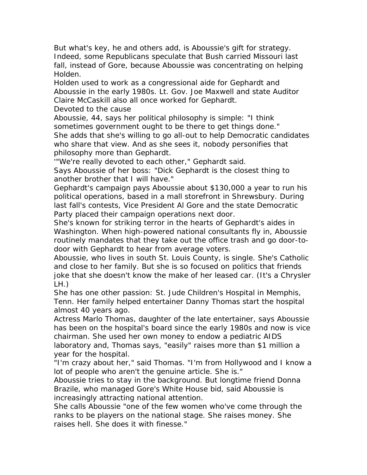But what's key, he and others add, is Aboussie's gift for strategy. Indeed, some Republicans speculate that Bush carried Missouri last fall, instead of Gore, because Aboussie was concentrating on helping Holden.

Holden used to work as a congressional aide for Gephardt and Aboussie in the early 1980s. Lt. Gov. Joe Maxwell and state Auditor Claire McCaskill also all once worked for Gephardt.

Devoted to the cause

Aboussie, 44, says her political philosophy is simple: "I think sometimes government ought to be there to get things done." She adds that she's willing to go all-out to help Democratic candidates who share that view. And as she sees it, nobody personifies that philosophy more than Gephardt.

'"We're really devoted to each other," Gephardt said. Says Aboussie of her boss: "Dick Gephardt is the closest thing to another brother that I will have."

Gephardt's campaign pays Aboussie about \$130,000 a year to run his political operations, based in a mall storefront in Shrewsbury. During last fall's contests, Vice President Al Gore and the state Democratic Party placed their campaign operations next door.

She's known for striking terror in the hearts of Gephardt's aides in Washington. When high-powered national consultants fly in, Aboussie routinely mandates that they take out the office trash and go door-todoor with Gephardt to hear from average voters.

Aboussie, who lives in south St. Louis County, is single. She's Catholic and close to her family. But she is so focused on politics that friends joke that she doesn't know the make of her leased car. (It's a Chrysler LH.)

She has one other passion: St. Jude Children's Hospital in Memphis, Tenn. Her family helped entertainer Danny Thomas start the hospital almost 40 years ago.

Actress Marlo Thomas, daughter of the late entertainer, says Aboussie has been on the hospital's board since the early 1980s and now is vice chairman. She used her own money to endow a pediatric AIDS laboratory and, Thomas says, "easily" raises more than \$1 million a year for the hospital.

"I'm crazy about her," said Thomas. "I'm from Hollywood and I know a lot of people who aren't the genuine article. She is."

Aboussie tries to stay in the background. But longtime friend Donna Brazile, who managed Gore's White House bid, said Aboussie is increasingly attracting national attention.

She calls Aboussie "one of the few women who've come through the ranks to be players on the national stage. She raises money. She raises hell. She does it with finesse."